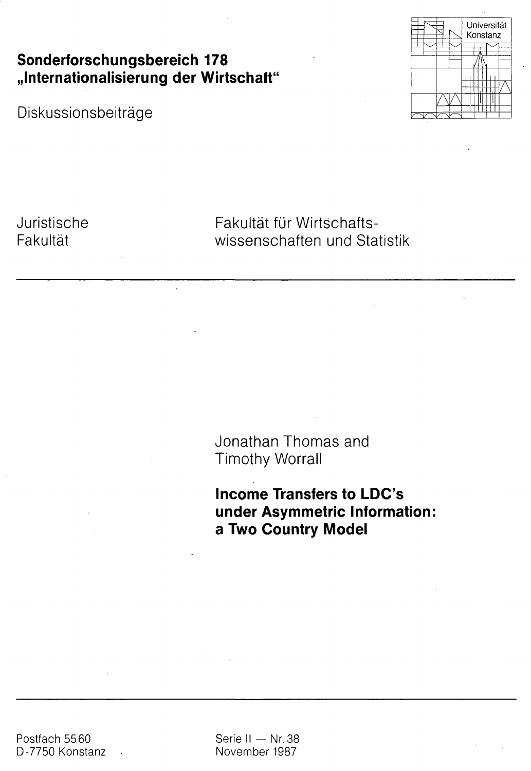**Sonderforschungsbereich 178 Jnternationalisierung der Wirtschaft"**

Diskussionsbeiträge



Juristische **Fakultät** 

Fakultät für Wirtschaftswissenschaften und Statistik

Jonathan Thomas and Timothy Worrall

**Income Transfers to LDC's under Asymmetric Information; a Two Country Model**

Postfach 5560 D-7750 Konstanz Serie II — Nr. 38 November 1987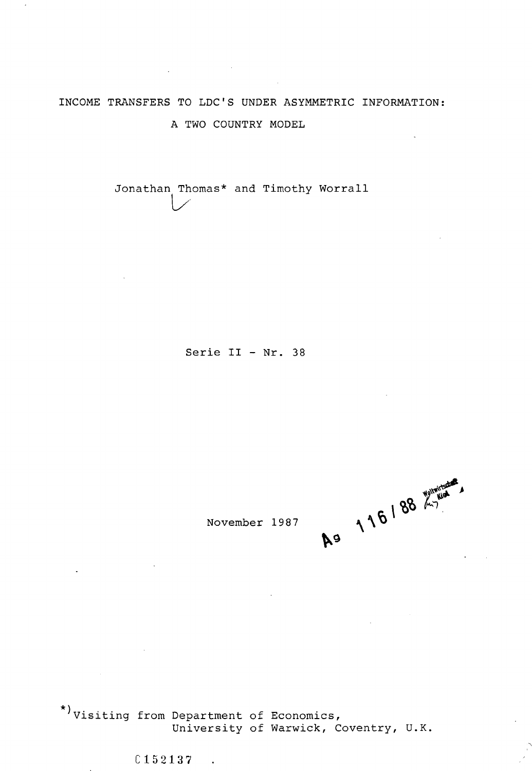# INCOME TRANSFERS TO LDC'S UNDER ASYMMETRIC INFORMATION: A TWO COUNTRY MODEL

 $\label{eq:2.1} \frac{1}{2}\sum_{i=1}^n\frac{1}{2}\left(\frac{1}{2}\sum_{i=1}^n\frac{1}{2}\sum_{i=1}^n\frac{1}{2}\sum_{i=1}^n\frac{1}{2}\sum_{i=1}^n\frac{1}{2}\sum_{i=1}^n\frac{1}{2}\sum_{i=1}^n\frac{1}{2}\sum_{i=1}^n\frac{1}{2}\sum_{i=1}^n\frac{1}{2}\sum_{i=1}^n\frac{1}{2}\sum_{i=1}^n\frac{1}{2}\sum_{i=1}^n\frac{1}{2}\sum_{i=1}^n\frac{1}{2}\sum$ 

Jonathan Thomas\* and Timothy Worrall

Serie II - Nr. 38

November 1987 \~ "

\*) visiting from Department of Economics)

> University of Warwick, Coventry, U.K. **C 1 5 2 1 3 7**

 $\mathcal{A}$ 

 $\mathcal{L}^{\text{max}}_{\text{max}}$  ,  $\mathcal{L}^{\text{max}}_{\text{max}}$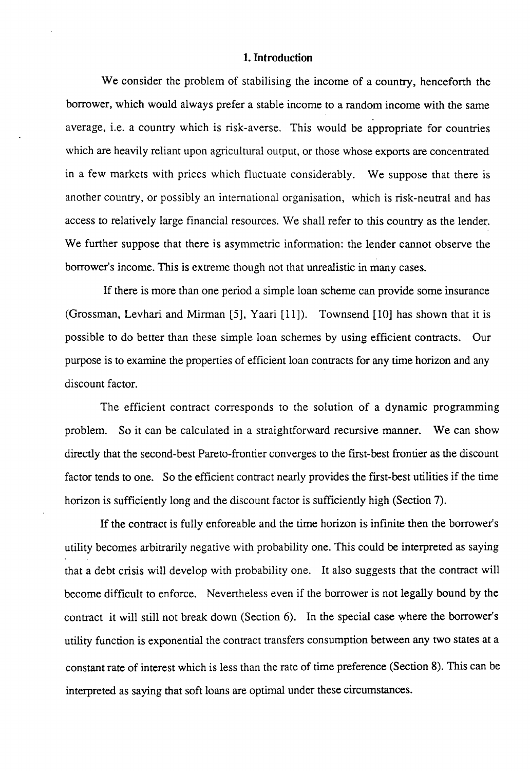#### **1. Introduction**

We consider the problem of stabilising the income of a country, henceforth the borrower, which would always prefer a stable income to a random income with the same average, i.e. a country which is risk-averse. This would be appropriate for countries which are heavily reliant upon agricultural output, or those whose exports are concentrated in a few markets with prices which fluctuate considerably. We suppose that there is another country, or possibly an international organisation, which is risk-neutral and has access to relatively large financial resources. We shall refer to this country as the lender. We further suppose that there is asymmetric information: the lender cannot observe the borrower's income. This is extreme though not that unrealistic in many cases.

If there is more than one period a simple loan scheme can provide some insurance (Grossman, Levhari and Mirman [5], Yaari [11]). Townsend [10] has shown that it is possible to do better than these simple loan schemes by using efficient contracts. Our purpose is to examine the properties of efficient loan contracts for any time horizon and any discount factor.

The efficient contract corresponds to the solution of a dynamic programming problem. So it can be calculated in a straightforward recursive manner. We can show directly that the second-best Pareto-frontier converges to the first-best frontier as the discount factor tends to one. So the efficient contract nearly provides the first-best utilities if the time horizon is sufficiently long and the discount factor is sufficiently high (Section 7).

If the contract is fully enforeable and the time horizon is infinite then the borrower's utility becomes arbitrarily negative with probability one. This could be interpreted as saying that a debt crisis will develop with probability one. It also suggests that the contract will become difficult to enforce. Nevertheless even if the borrower is not legally bound by the contract it will still not break down (Section 6). In the special case where the borrower's utility function is exponential the contract transfers consumption between any two states at a constant rate of interest which is less than the rate of time preference (Section 8). This can be interpreted as saying that soft loans are optimal under these circumstances.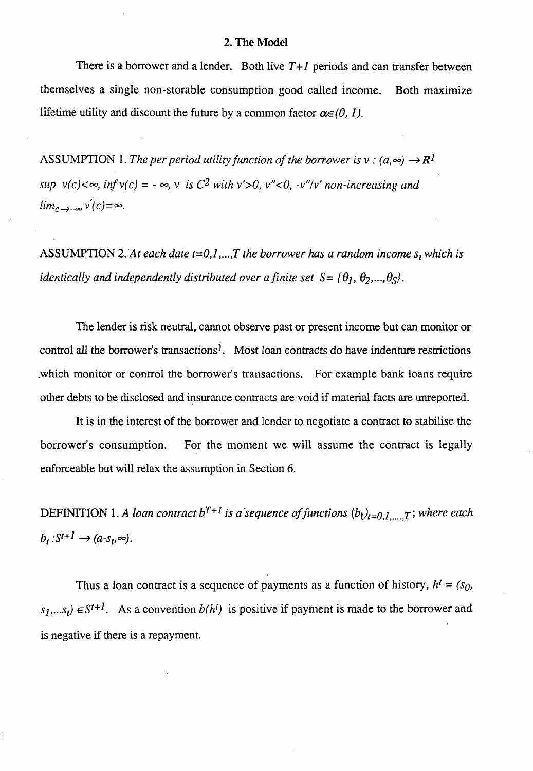#### 2. **The** Model

There is a borrower and a lender. Both live *T+l* periods and can transfer between themselves a single non-storable consumption good called income. Both maximize lifetime utility and discount the future by a common factor  $\alpha \in (0, 1)$ .

ASSUMPTION 1. The per period utility function of the borrower is  $v : (a, \infty) \rightarrow \mathbb{R}^1$  $sup \ v(c) < \infty$ ,  $inf \ v(c) = -\infty$ ,  $v \text{ is } C^2$  with  $v' > 0$ ,  $v'' < 0$ ,  $-v''/v'$  non-increasing and  $\lim_{c\to\infty} v'(c) = \infty$ .

ASSUMPTION 2. *At each date t=O,l,...,T the borrower has a random income s<sup>t</sup> which is identically and independently distributed over a finite set*  $S = \{\theta_1, \theta_2, ..., \theta_S\}$ .

The lender is risk neutral, cannot observe past or present income but can monitor or control all the borrower's transactions<sup>1</sup>. Most loan contracts do have indenture restrictions .which monitor or control the borrower's transactions. For example bank loans require other debts to be disclosed and insurance contracts are void if material facts are unreported.

It is in the interest of the borrower and lender to negotiate a contract to stabilise the borrower's consumption. For the moment we will assume the contract is legally enforceable but will relax the assumption in Section 6.

DEFINITION 1. A loan contract  $b^{T+1}$  is a sequence of functions  $(b_1)_{t=0,1,\dots,T}$ ; where each  $b_t$ : $S^{t+1} \rightarrow (a-s_t, \infty)$ .

Thus a loan contract is a sequence of payments as a function of history,  $h^i = (s_0,$  $s_1,...s_t$   $\in$  *S*<sup>*t+1*</sup>. As a convention *b*(*h*<sup>*t*</sup>) is positive if payment is made to the borrower and is negative if there is a repayment.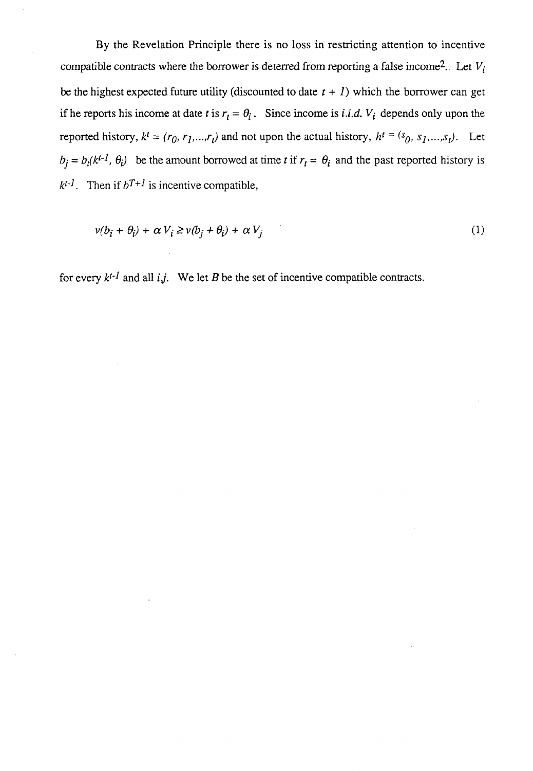By the Revelation Principle there is no loss in restricting attention to incentive compatible contracts where the borrower is deterred from reporting a false income<sup>2</sup>. Let  $V_i$ be the highest expected future utility (discounted to date  $t + 1$ ) which the borrower can get if he reports his income at date *t* is  $r_t = \theta_i$ . Since income is *i.i.d.*  $V_i$  depends only upon the reported history,  $k^t = (r_0, r_1, ..., r_t)$  and not upon the actual history,  $h^t = (s_0, s_1, ..., s_t)$ . Let  $b_j = b_f(k^{t-1}, \theta_i)$  be the amount borrowed at time *t* if  $r_t = \theta_i$  and the past reported history is  $k^{t-1}$ . Then if  $b^{T+1}$  is incentive compatible,

$$
v(b_i + \theta_i) + \alpha V_i \ge v(b_j + \theta_i) + \alpha V_j \tag{1}
$$

for every  $k^{t-1}$  and all  $i, j$ . We let B be the set of incentive compatible contracts.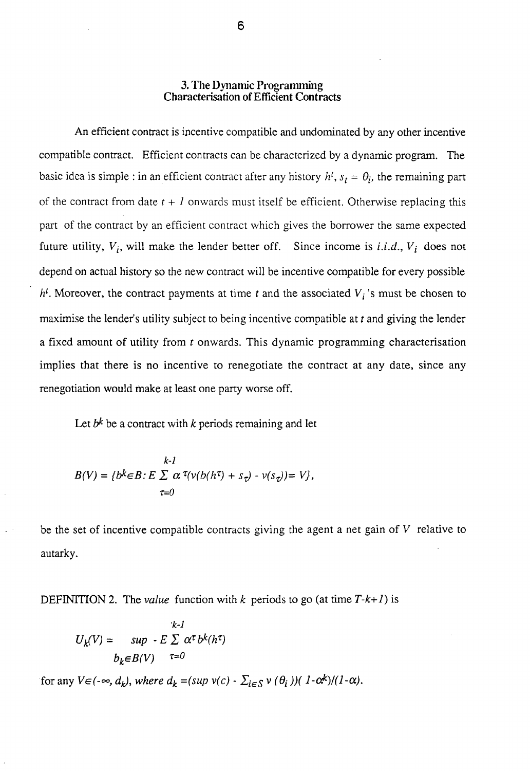#### **3. The** Dynamic **Programming Characterisation of Efficient Contracts**

An efficient contract is incentive compatible and undominated by any other incentive compatible contract. Efficient contracts can be characterized by a dynamic program. The basic idea is simple : in an efficient contract after any history  $h^t$ ,  $s_t = \theta_i$ , the remaining part of the contract from date  $t + l$  onwards must itself be efficient. Otherwise replacing this part of the contract by an efficient contract which gives the borrower the same expected future utility,  $V_i$ , will make the lender better off. Since income is *i.i.d.*,  $V_i$  does not depend on actual history so the new contract will be incentive compatible for every possible  $h<sup>t</sup>$ . Moreover, the contract payments at time t and the associated  $V<sub>i</sub>$ 's must be chosen to maximise the lender's utility subject to being incentive compatible at *t* and giving the lender a fixed amount of utility from *t* onwards. This dynamic programming characterisation implies that there is no incentive to renegotiate the contract at any date, since any renegotiation would make at least one party worse off.

Let  $b^k$  be a contract with  $k$  periods remaining and let

$$
k-l
$$
  

$$
B(V) = \{b^k \in B : E \sum_{\tau=0}^{\infty} \alpha^{\tau} (\nu(b(h^{\tau}) + s_{\tau}) \cdot \nu(s_{\tau})) = V \},\
$$

be the set of incentive compatible contracts giving the agent a net gain of *V* relative to autarky.

DEFINITION 2. The *value* function with  $k$  periods to go (at time  $T-k+1$ ) is

$$
U_k(V) = \sup_{b_k \in B(V)} E \sum_{\tau=0}^{k-1} \alpha^{\tau} b^k(h^{\tau})
$$

for any  $V \in (-\infty, d_k)$ , where  $d_k = (sup \ v(c) - \sum_{i \in S} v(\theta_i)) (1 - \alpha^k)/(1 - \alpha)$ .

6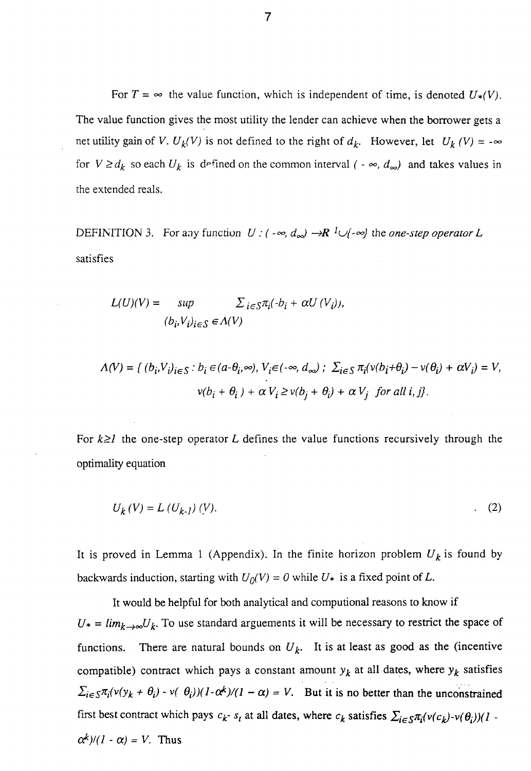For  $T = \infty$  the value function, which is independent of time, is denoted  $U_*(V)$ . The value function gives the most utility the lender can achieve when the borrower gets a net utility gain of *V*.  $U_k(V)$  is not defined to the right of  $d_k$ . However, let  $U_k(V) = -\infty$ for  $V \ge d_k$  so each  $U_k$  is defined on the common interval  $( - \infty, d_{\infty} )$  and takes values in the extended reals.

DEFINITION 3. For any function  $U : (-\infty, d_{\infty}) \rightarrow \mathbb{R}$  <sup>1</sup> $\cup$ {- $\infty$ } the *one-step operator L* satisfies

$$
L(U)(V) = \sup \sum_{i \in S} \pi_i(\cdot b_i + \alpha U(V_i)),
$$
  

$$
(b_i, V_i)_{i \in S} \in \Lambda(V)
$$

$$
\Lambda(V) = \{ (b_i, V_i)_{i \in S} : b_i \in (a - \theta_i, \infty), V_i \in (-\infty, d_{\infty}) : \sum_{i \in S} \pi_i (v(b_i + \theta_i) - v(\theta_i) + \alpha V_i) = V, \n v(b_i + \theta_i) + \alpha V_i \ge v(b_j + \theta_i) + \alpha V_j \text{ for all } i, j \}.
$$

For  $k \geq 1$  the one-step operator *L* defines the value functions recursively through the optimality equation

$$
U_k(V) = L(U_{k-1}) (V). \tag{2}
$$

It is proved in Lemma 1 (Appendix). In the finite horizon problem  $U_k$  is found by backwards induction, starting with  $U_0(V) = 0$  while  $U_*$  is a fixed point of L.

It would be helpful for both analytical and computional reasons to know if  $U_* = \lim_{k \to \infty} U_k$ . To use standard arguements it will be necessary to restrict the space of functions. There are natural bounds on  $U_k$ . It is at least as good as the (incentive compatible) contract which pays a constant amount  $y_k$  at all dates, where  $y_k$  satisfies  $\sum_{i \in S} \pi_i (v(y_k + \theta_i) - v(\theta_i)) (1 - \alpha^k)/(1 - \alpha) = V$ . But it is no better than the unconstrained first best contract which pays  $c_k$ -  $s_t$  at all dates, where  $c_k$  satisfies  $\sum_{i \in S} \pi_i (v(c_k) - v(\theta_i))$ (1 - $\alpha^k$ / $(l - \alpha) = V$ . Thus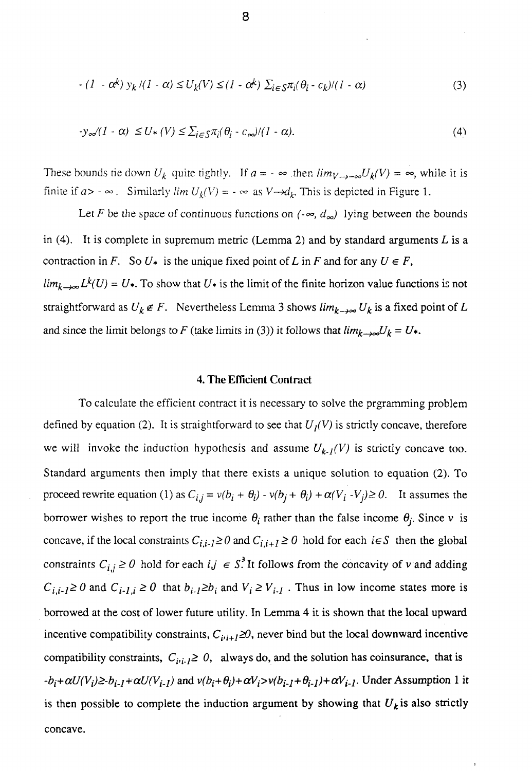$$
-(I - \alpha^{k}) y_{k} / (I - \alpha) \le U_{k}(V) \le (I - \alpha^{k}) \sum_{i \in S} \pi_{i}(\theta_{i} - c_{k}) / (I - \alpha)
$$
\n(3)

$$
-y_{\infty}/(1-\alpha) \le U_*(V) \le \sum_{i \in S} \pi_i(\theta_i - c_{\infty})/(1-\alpha). \tag{4}
$$

These bounds tie down  $U_k$  quite tightly. If  $a = -\infty$  then  $\lim_{V \to -\infty} U_k(V) = \infty$ , while it is finite if  $a > -\infty$ . Similarly  $\lim U_k(V) = -\infty$  as  $V \rightarrow d_k$ . This is depicted in Figure 1.

Let F be the space of continuous functions on  $(-\infty, d_{\infty})$  lying between the bounds in  $(4)$ . It is complete in supremum metric (Lemma 2) and by standard arguments L is a contraction in *F*. So  $U^*$  is the unique fixed point of *L* in *F* and for any  $U \in F$ ,  $\lim_{k\to\infty} L^k(U) = U^*$ . To show that  $U^*$  is the limit of the finite horizon value functions is not straightforward as  $U_k \notin F$ . Nevertheless Lemma 3 shows  $\lim_{k \to \infty} U_k$  is a fixed point of L and since the limit belongs to *F* (take limits in (3)) it follows that  $\lim_{k\to\infty}U_k = U^*$ .

#### 4. The Efficient Contract

To calculate the efficient contract it is necessary to solve the prgramming problem defined by equation (2). It is straightforward to see that  $U_I(V)$  is strictly concave, therefore we will invoke the induction hypothesis and assume  $U_{k}$ *<sub>l</sub>*(V) is strictly concave too. Standard arguments then imply that there exists a unique solution to equation (2). To proceed rewrite equation (1) as  $C_{i,j} = v(b_i + \theta_i) - v(b_j + \theta_i) + \alpha(V_i - V_j) \ge 0$ . It assumes the borrower wishes to report the true income  $\theta_i$  rather than the false income  $\theta_i$ . Since v is concave, if the local constraints  $C_{i,i-1} \ge 0$  and  $C_{i,i+1} \ge 0$  hold for each  $i \in S$  then the global constraints  $C_{i,j} \ge 0$  hold for each  $i, j \in S^3$ . It follows from the concavity of v and adding  $C_{i,i-1} \ge 0$  and  $C_{i-1,i} \ge 0$  that  $b_{i-1} \ge b_i$  and  $V_i \ge V_{i-1}$ . Thus in low income states more is borrowed at the cost of lower future utility. In Lemma 4 it is shown that the local upward incentive compatibility constraints,  $C_{i,i+1} \ge 0$ , never bind but the local downward incentive compatibility constraints,  $C_{i,i} \geq 0$ , always do, and the solution has coinsurance, that is  $-b_i + \alpha U(V_i) \geq b_{i-1} + \alpha U(V_{i-1})$  and  $v(b_i + \theta_i) + \alpha V_i > v(b_{i-1} + \theta_{i-1}) + \alpha V_{i-1}$ . Under Assumption 1 it is then possible to complete the induction argument by showing that  $U_k$  is also strictly concave.

 $\overline{ }$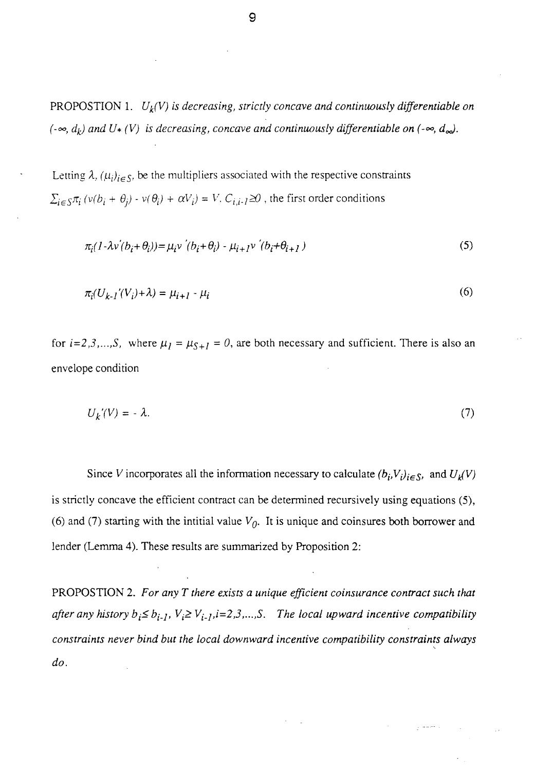PROPOSTION 1. *Uk(V) is decreasing, strictly concave and continuously differentiable on (-* $\infty$ ,  $d_k$ ) and U\* (V) is decreasing, concave and continuously differentiable on (- $\infty$ ,  $d_{\infty}$ ).

Letting  $\lambda$ ,  $(\mu_i)_{i \in S}$ , be the multipliers associated with the respective constraints  $\alpha_i$  (*v*( $b_i + \theta_j$ ) - *v*( $\theta_i$ ) +  $\alpha V_i$ ) = *V*,  $C_{i,i-1} \ge \theta$ , the first order conditions

$$
\pi_i(I - \lambda v'(b_i + \theta_i)) = \mu_i v'(b_i + \theta_i) - \mu_{i+1} v'(b_i + \theta_{i+1})
$$
\n<sup>(5)</sup>

$$
\pi_i(U_{k-1}'(V_i)+\lambda) = \mu_{i+1} - \mu_i \tag{6}
$$

for  $i=2,3,...,S$ , where  $\mu_1 = \mu_{S+1} = 0$ , are both necessary and sufficient. There is also an envelope condition

$$
U_k'(V) = -\lambda. \tag{7}
$$

Since *V* incorporates all the information necessary to calculate  $(b_i, V_i)_{i \in S}$ , and  $U_k(V)$ is strictly concave the efficient contract can be determined recursively using equations (5), (6) and (7) starting with the intitial value *Vo.* It is unique and coinsures both borrower and lender (Lemma 4). These results are summarized by Proposition 2:

PROPOSTION 2. *For any T there exists a unique efficient coinsurance contract such that after any history*  $b_i \leq b_{i-1}$ *,*  $V_i \geq V_{i-1}$ *, i=2,3,...,S.* The local upward incentive compatibility *constraints never bind but the local downward incentive compatibility constraints always do.*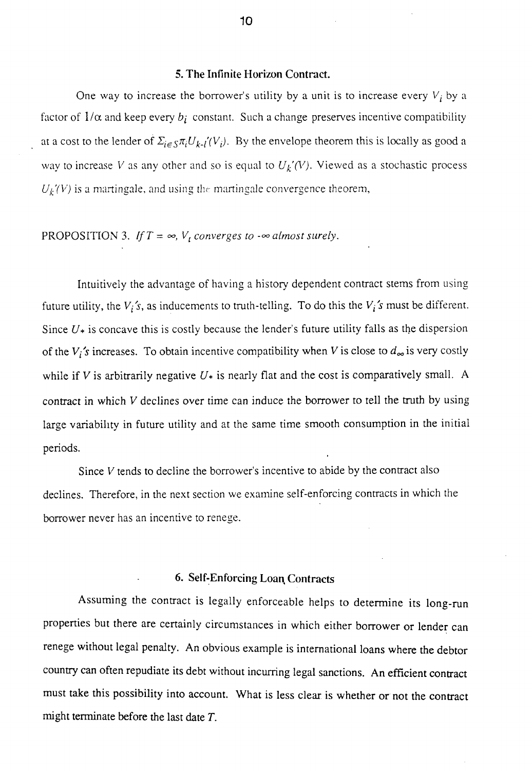#### 5. The Infinite Horizon Contract.

One way to increase the borrower's utility by a unit is to increase every  $V_i$  by a factor of  $1/\alpha$  and keep every  $b_i$  constant. Such a change preserves incentive compatibility at a cost to the lender of  $\Sigma_{i \in S} \pi_i U_{k-i'}(V_i)$ . By the envelope theorem this is locally as good a way to increase *V* as any other and so is equal to  $U_k'(V)$ . Viewed as a stochastic process *Uk'(V)* is a martingale, and using the martingale convergence theorem,

# PROPOSITION 3. If  $T = \infty$ ,  $V_t$  converges to  $-\infty$  almost surely.

Intuitively the advantage of having a history dependent contract stems from using future utility, the  $V_i$ 's, as inducements to truth-telling. To do this the  $V_i$ 's must be different. Since  $U_*$  is concave this is costly because the lender's future utility falls as the dispersion of the  $V_i$ 's increases. To obtain incentive compatibility when V is close to  $d_{\infty}$  is very costly while if *V* is arbitrarily negative  $U_*$  is nearly flat and the cost is comparatively small. A contract in which *V* declines over time can induce the borrower to tell the truth by using large variability in future utility and at the same time smooth consumption in the initial periods.

Since *V* tends to decline the borrower's incentive to abide by the contract also declines. Therefore, in the next section we examine self-enforcing contracts in which the borrower never has an incentive to renege.

### 6. Self-Enforcing Loan, Contracts

Assuming the contract is legally enforceable helps to determine its long-run properties but there are certainly circumstances in which either borrower or lender can renege without legal penalty. An obvious example is international loans where the debtor country can often repudiate its debt without incurring legal sanctions. An efficient contract must take this possibility into account. What is less clear is whether or not the contract might terminate before the last date *T.*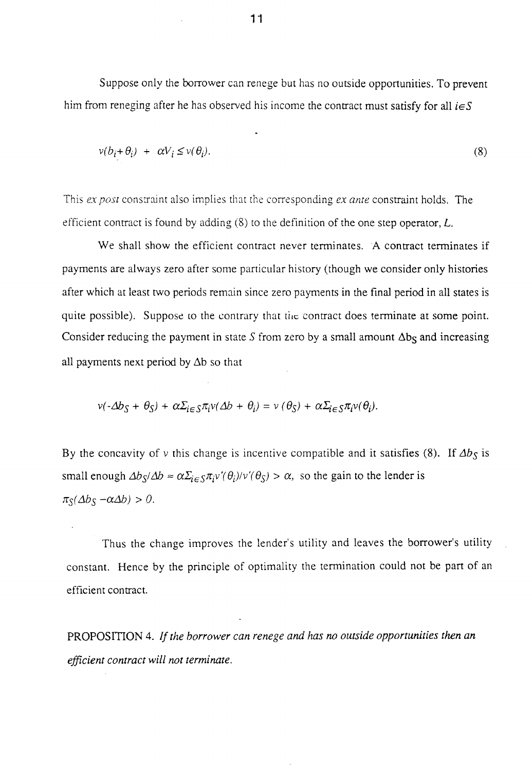Suppose only the borrower can renege but has no outside opportunities. To prevent him from reneging after he has observed his income the contract must satisfy for all  $i \in S$ 

$$
v(b_i + \theta_i) + \alpha V_i \le v(\theta_i). \tag{8}
$$

This *ex post* constraint also implies that the corresponding *ex ante* constraint holds. The efficient contract is found by adding (8) to the definition of the one step operator, *L.*

We shall show the efficient contract never terminates. A contract terminates if payments are always zero after some particular history (though we consider only histories after which at least two periods remain since zero payments in die final period in all states is quite possible). Suppose to the contrary that the contract does terminate at some point. Consider reducing the payment in state S from zero by a small amount  $\Delta b_S$  and increasing all payments next period by  $\Delta b$  so that

$$
v(-\Delta b_S + \theta_S) + \alpha \Sigma_{i \in S} \pi_i v(\Delta b + \theta_i) = v(\theta_S) + \alpha \Sigma_{i \in S} \pi_i v(\theta_i).
$$

By the concavity of v this change is incentive compatible and it satisfies (8). If  $\Delta b<sub>S</sub>$  is small enough  $\Delta b_S/\Delta b \approx \alpha \Sigma_i \epsilon_S \pi_i v'(\theta_i)/v'(\theta_S) > \alpha$ , so the gain to the lender is  $\pi_{S}(\Delta b_{S} - \alpha \Delta b) > 0.$ 

Thus the change improves the lender's utility and leaves the borrower's utility constant. Hence by the principle of optimality the termination could not be part of an efficient contract.

PROPOSITION 4. *If the borrower can renege and has no outside opportunities then an efficient contract will not terminate.*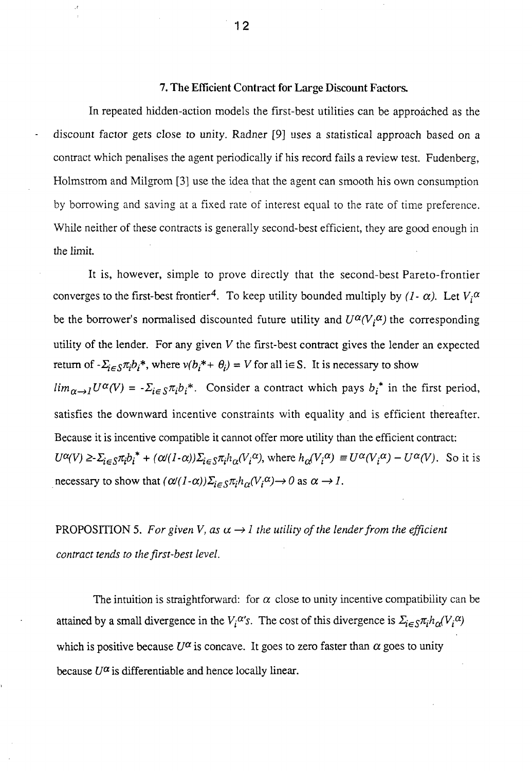#### 7. The Efficient Contract for Large Discount Factors.

In repeated hidden-action models the first-best utilities can be approached as the discount factor gets close to unity. Radner [9] uses a statistical approach based on a contract which penalises the agent periodically if his record fails a review test. Fudenberg, Holmstrom and Milgrom [3] use the idea that the agent can smooth his own consumption by borrowing and saving at a fixed rate of interest equal to the rate of time preference. While neither of these contracts is generally second-best efficient, they are good enough in the limit.

It is, however, simple to prove directly that the second-best Pareto-frontier converges to the first-best frontier<sup>4</sup>. To keep utility bounded multiply by  $(I - \alpha)$ . Let  $V_i^{\alpha}$ be the borrower's normalised discounted future utility and  $U^{\alpha}(V_i^{\alpha})$  the corresponding utility of the lender. For any given *V* the first-best contract gives the lender an expected return of  $-\Sigma_{i \in S} \pi_i b_i^*$ , where  $v(b_i^* + \theta_i) = V$  for all i $\in S$ . It is necessary to show  $\lim_{\alpha \to 1} U^{\alpha}(V) = -\sum_{i \in S} \pi_i b_i^*$ . Consider a contract which pays  $b_i^*$  in the first period, satisfies the downward incentive constraints with equality and is efficient thereafter. Because it is incentive compatible it cannot offer more utility than the efficient contract:  $U^{\alpha}(V) \ge \sum_{i \in S} \pi_i b_i^* + (\alpha/(I-\alpha))\sum_{i \in S} \pi_i h_{\alpha}(V_i^{\alpha})$ , where  $h_{\alpha}(V_i^{\alpha}) = U^{\alpha}(V_i^{\alpha}) - U^{\alpha}(V)$ . So it is necessary to show that  $(\alpha/(1-\alpha))\Sigma_{i\in S}\pi_i h_\alpha(V_i^\alpha) \to 0$  as  $\alpha \to 1$ .

PROPOSITION 5. For given V, as  $\alpha \rightarrow l$  the utility of the lender from the efficient *contract tends to the first-best level.*

The intuition is straightforward: for  $\alpha$  close to unity incentive compatibility can be attained by a small divergence in the  $V_i^{\alpha'}s$ . The cost of this divergence is  $\sum_{i \in S} \pi_i h_{\alpha}(V_i^{\alpha})$ which is positive because  $U^{\alpha}$  is concave. It goes to zero faster than  $\alpha$  goes to unity because  $U^{\alpha}$  is differentiable and hence locally linear.

**12**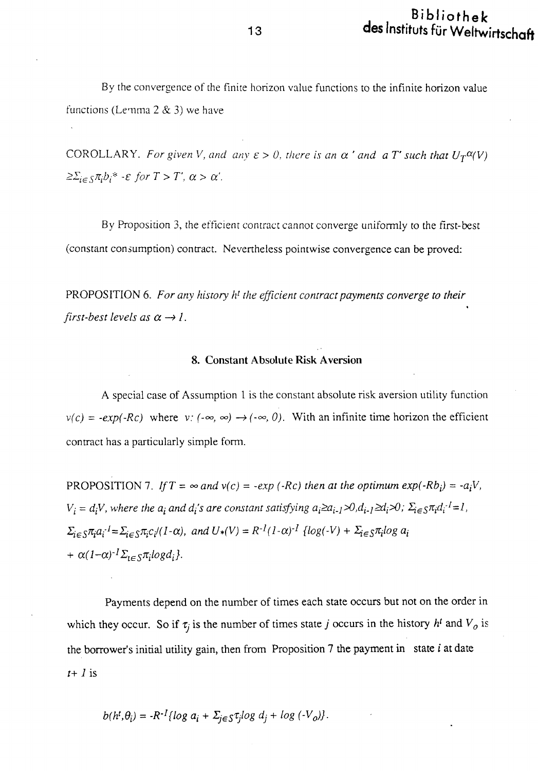By the convergence of the finite horizon value functions to the infinite horizon value functions (Lemma  $2 \& 3$ ) we have

COROLLARY. For given V, and any  $\varepsilon > 0$ , there is an  $\alpha'$  and a T' such that  $U_T^{\alpha}(V)$  $\geq \sum_{i \in S} \pi_i b_i^*$  -  $\varepsilon$  for  $T > T'$ ,  $\alpha > \alpha'$ .

By Proposition 3, the efficient contract cannot converge uniformly to the first-best (constant consumption) contract. Nevertheless pointwise convergence can be proved:

PROPOSITION 6. For any history h<sup>t</sup> the efficient contract payments converge to their *first-best levels as*  $\alpha \rightarrow l$ .

### **8. Constant Absolute Risk Aversion**

A special case of Assumption 1 is the constant absolute risk aversion utility function  $v(c) = -exp(-Rc)$  where  $v: (-\infty, \infty) \rightarrow (-\infty, 0)$ . With an infinite time horizon the efficient contract has a particularly simple form.

PROPOSITION 7. If  $T = \infty$  and  $v(c) = -exp(-Rc)$  then at the optimum  $exp(-Rb_i) = -a_iV$ ,  $V_i = d_i V$ , where the  $a_i$  and  $d_i$ 's are constant satisfying  $a_i \ge a_{i-1} \ge 0, d_{i-1} \ge d_i \ge 0$ ;  $\Sigma_{i \in S} \pi_i d_i^{-1} = I$ ,  $\sum_{i \in S} \pi_i a_i^{-1} = \sum_{i \in S} \pi_i c_i / (1 - \alpha)$ , and  $U^*(V) = R^{-1} (1 - \alpha)^{-1}$  {log(-V) +  $\sum_{i \in S} \pi_i \log a_i$  $+ \alpha (1-\alpha)^{-1} \Sigma_{i \in S} \pi_i log d_i$ .

Payments depend on the number of times each state occurs but not on the order in which they occur. So if  $\tau_j$  is the number of times state *j* occurs in the history  $h^t$  and  $V_o$  is the borrower's initial utility gain, then from Proposition 7 the payment in state *i* at date  $t+1$  is

$$
b(h^t, \theta_i) = -R^{-1} \{ \log a_i + \Sigma_{j \in S} \tau_j \log d_j + \log ( -V_o) \}.
$$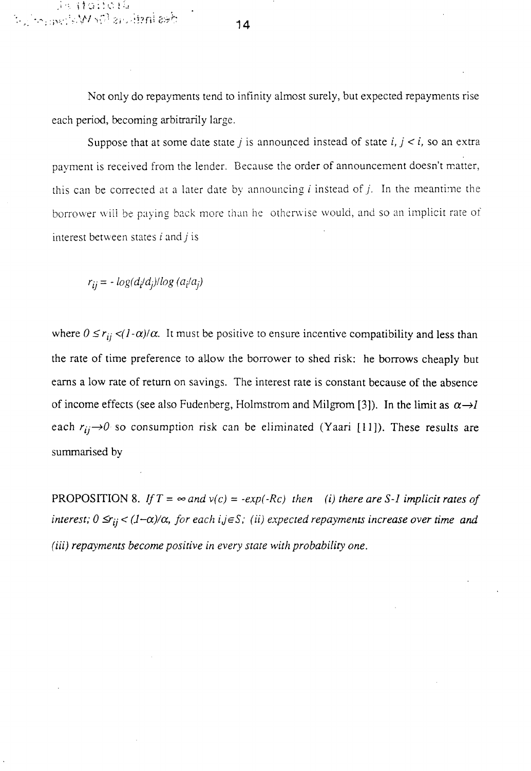Not only do repayments tend to infinity almost surely, but expected repayments rise each period, becoming arbitrarily large.

Suppose that at some date state *j* is announced instead of state *i, j < i,* so an extra payment is received from the lender. Because the order of announcement doesn't matter, this can be corrected at a later date by announcing  $i$  instead of  $j$ . In the meantime the borrower will be paying back more than he otherwise would, and so an implicit rate of interest between states *i* and *j* is

 $r_{ij} = -\log(d_i/d_j) / \log(d_i/d_j)$ 

istattatta<br>Besinsticus (Dr. Wstan<sub>tt</sub>orige)

where  $0 \le r_{ij} \lt (l-\alpha)/\alpha$ . It must be positive to ensure incentive compatibility and less than the rate of time preference to allow the borrower to shed risk: he borrows cheaply but earns a low rate of return on savings. The interest rate is constant because of the absence of income effects (see also Fudenberg, Holmstrom and Milgrom [3]). In the limit as  $\alpha \rightarrow l$ each  $r_{ij}\rightarrow 0$  so consumption risk can be eliminated (Yaari [11]). These results are summarised by

PROPOSITION 8. If  $T = \infty$  and  $v(c) = -exp(-Rc)$  then (i) there are S-1 implicit rates of *interest;*  $0 \le r_{ij} < (1-\alpha)/\alpha$ , for each  $i, j \in S$ ; (ii) expected repayments increase over time and *(iii) repayments become positive in every state with probability one.* 

**14**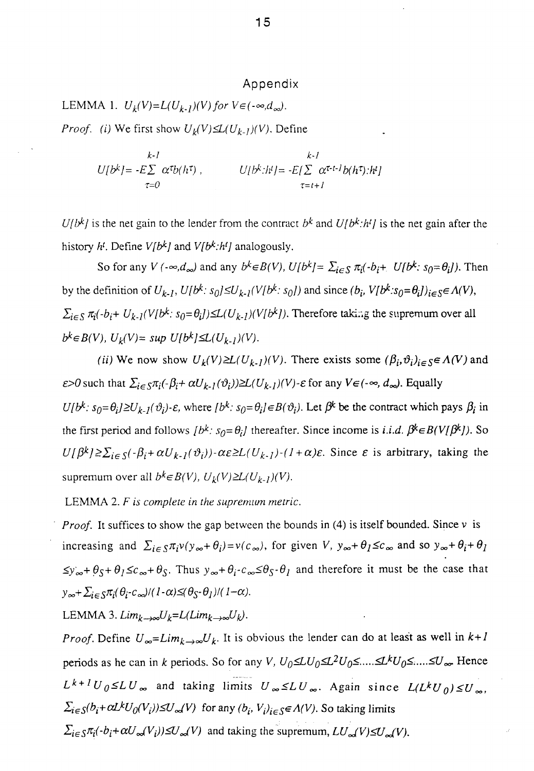# Appendix

LEMMA 1.  $U_k(V)=L(U_{k-1})(V)$  for  $V \in (-\infty,d_\infty)$ .

*Proof.* (i) We first show  $U_k(V) \leq L(U_{k-1})(V)$ . Define

$$
L{l}b^{k} = -E\sum_{\tau=0}^{k-1} \alpha^{\tau}b(h^{\tau}), \qquad U[b^{k}:h^{t}] = -E[\sum_{\tau=t+1}^k \alpha^{\tau-t-1}b(h^{\tau}):h^{t}]
$$

is the net gain to the lender from the contract  $b^k$  and  $U[b^k:h^l]$  is the net gain after the history *H.* Define *V[b^]* and *V[b<sup>k</sup> :hc ]* analogously.

So for any *V* ( $-\infty$ , $d_{\infty}$ ) and any  $b^k \in B(V)$ ,  $U[b^k] = \sum_{i \in S} \pi_i(-b_i + U[b^k: s_0 = \theta_i])$ . Then by the definition of  $U_{k-1}$ ,  $U[b^k: s_0] \leq U_{k-1}(V[b^k: s_0])$  and since  $(b_i, V[b^k: s_0 = \theta_i])_{i \in S} \in \Lambda(V)$ ,  $\sum_{i \in S} \pi_i(-b_i + U_{k-1}(V[b^k: s_0 = \theta_i]) \le L(U_{k-1})(V[b^k])$ . Therefore taking the supremum over all  $b^k \in B(V)$ ,  $U_k(V) = \sup U[b^k] \leq L(U_{k-1})(V)$ .

*(ii)* We now show  $U_k(V) \geq L(U_{k-1})(V)$ . There exists some  $(\beta_i, \vartheta_i)_{i \in S} \in \Lambda(V)$  and  $\epsilon$ >0 such that  $\sum_{i\in S}\pi_i(-\beta_i+\alpha U_{k-1}(\vartheta_i))\geq L(U_{k-1})(V)$ - $\epsilon$  for any  $V\epsilon(-\infty, d_{\infty})$ . Equally  $U[b^k: s_0 = \theta_i] \ge U_{k-1}(\theta_i)$ - $\varepsilon$ , where  $[b^k: s_0 = \theta_i] \in B(\theta_i)$ . Let  $\beta^k$  be the contract which pays  $\beta_i$  in the first period and follows  $[b^k: s_0 = \theta_i]$  thereafter. Since income is *i.i.d.*  $\beta^k \in B(V[\beta^k])$ . So  $U[\beta^k] \ge \sum_{i \in S} (-\beta_i + \alpha U_{k-1}(\vartheta_i)) - \alpha \varepsilon \ge L(U_{k-1}) - (1 + \alpha)\varepsilon$ . Since  $\varepsilon$  is arbitrary, taking the supremum over all  $b^k \in B(V)$ ,  $U_k(V) \geq L(U_{k-1})(V)$ .

LEMMA 2. *F is complete in the supremum metric.*

*Proof.* It suffices to show the gap between the bounds in (4) is itself bounded. Since  $\nu$  is increasing and  $\sum_{i \in S} \pi_i v(y_\infty + \theta_i) = v(c_\infty)$ , for given *V*,  $y_\infty + \theta_i \le c_\infty$  and so  $y_\infty + \theta_i + \theta_i$  $\leq y_{\infty} + \theta_s + \theta_l \leq c_{\infty} + \theta_s$ . Thus  $y_{\infty} + \theta_i - c_{\infty} \leq \theta_s - \theta_l$  and therefore it must be the case that  $y_{\infty} + \sum_{i \in S} \pi_i(\theta_i - c_{\infty})/(1-\alpha) \leq (\theta_S - \theta_I)/(1-\alpha).$ 

LEMMA 3.  $Lim_{k\rightarrow\infty}U_k=L(Lim_{k\rightarrow\infty}U_k)$ .

*Proof.* Define  $U_{\infty} = Lim_k \rightarrow \infty} U_k$ . It is obvious the lender can do at least as well in  $k+1$ periods as he can in *k* periods. So for any *V*,  $U_0 \leq L U_0 \leq L^2 U_0 \leq \ldots \leq L^k U_0 \leq \ldots \leq U_\infty$ . Hence  $L^{k+l}U_0 \leq LU_\infty$  and taking limits  $U_\infty \leq LU_\infty$ . Again since  $L(L^kU_0) \leq U_\infty$  $\sum_{i \in S} (b_i + \alpha L^k U_0(V_i)) \le U_{\infty}(V)$  for any  $(b_i, V_i)_{i \in S} \in A(V)$ . So taking limits  $\sum_{i \in S} \pi_i(-b_i+\alpha U_{\infty}(V_i)) \leq U_{\infty}(V)$  and taking the supremum,  $LU_{\infty}(V) \leq U_{\infty}(V)$ .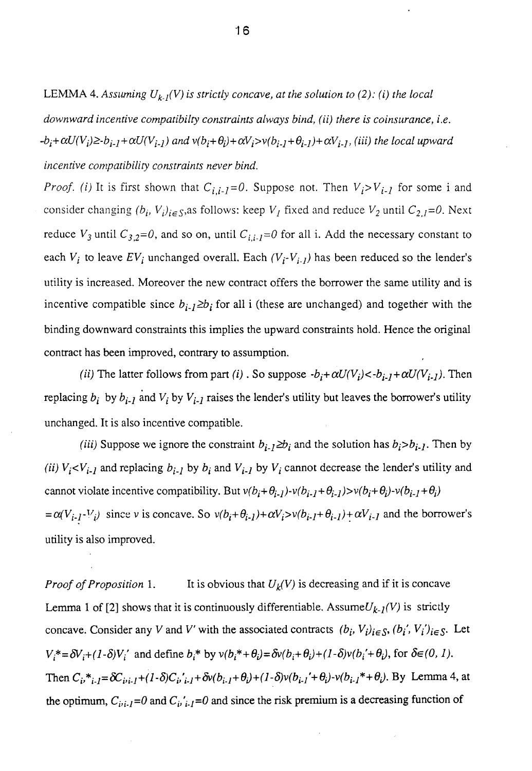LEMMA 4. Assuming  $U_{k,l}(V)$  is strictly concave, at the solution to (2): (i) the local

*downward incentive compatibilty constraints always bind, (ii) there is coinsurance, i.e.*  $-b_i+\alpha U(V_i)\geq b_{i-1}+\alpha U(V_{i-1})$  and  $v(b_i+\theta_i)+\alpha V_i>v(b_{i-1}+\theta_{i-1})+\alpha V_{i-1}$ , (iii) the local upward *incentive compatibility constraints never bind.*

*Proof. (i)* It is first shown that  $C_{i,i-1}=0$ . Suppose not. Then  $V_i>V_{i-1}$  for some i and consider changing  $(b_i, V_i)_{i \in S}$ ,as follows: keep  $V_I$  fixed and reduce  $V_2$  until  $C_{2,I}$ =0. Next reduce  $V_3$  until  $C_{3,2}=0$ , and so on, until  $C_{i,i}$ *-j*=0 for all i. Add the necessary constant to each  $V_i$  to leave  $EV_i$  unchanged overall. Each  $(V_i-V_{i-1})$  has been reduced so the lender's utility is increased. Moreover the new contract offers the borrower the same utility and is incentive compatible since  $b_{i-1} \ge b_i$  for all i (these are unchanged) and together with the binding downward constraints this implies the upward constraints hold. Hence the original contract has been improved, contrary to assumption.

*(ii)* The latter follows from part *(i)*. So suppose  $-b_i + \alpha U(V_i) < -b_{i-1} + \alpha U(V_{i-1})$ . Then replacing  $b_i$  by  $b_{i-1}$  and  $V_i$  by  $V_{i-1}$  raises the lender's utility but leaves the borrower's utility unchanged. It is also incentive compatible.

*(iii)* Suppose we ignore the constraint  $b_{i-1} \ge b_i$  and the solution has  $b_i > b_{i-1}$ . Then by *(ii)*  $V_i$ < $V_{i-1}$  and replacing  $b_{i-1}$  by  $b_i$  and  $V_{i-1}$  by  $V_i$  cannot decrease the lender's utility and cannot violate incentive compatibility. But  $v(b_i+\theta_{i-1})-v(b_{i-1}+\theta_{i-1})>v(b_i+\theta_i)-v(b_{i-1}+\theta_i)$  $=\alpha(V_{i-1}-V_i)$  since v is concave. So  $v(b_i+\theta_{i-1})+\alpha V_i>v(b_{i-1}+\theta_{i-1})+\alpha V_{i-1}$  and the borrower's utility is also improved.

*Proof of Proposition* 1. It is obvious that  $U_k(V)$  is decreasing and if it is concave Lemma 1 of [2] shows that it is continuously differentiable. Assume  $U_{k-1}(V)$  is strictly concave. Consider any *V* and *V'* with the associated contracts  $(b_i, V_i)_{i \in S}$ ,  $(b_i', V_i')_{i \in S}$ . Let  $V_i^* = \delta V_i + (1-\delta)V_i'$  and define  $b_i^*$  by  $v(b_i^* + \theta_i) = \delta v(b_i + \theta_i) + (1-\delta)v(b_i' + \theta_i)$ , for  $\delta \in (0,1)$ . Then  $C_i^*{}_{i,j} = \delta C_{i,i,j} + (1 \cdot \delta) C_{i,j}{}_{i,j} + \delta v (b_{i,j} + \theta_i) + (1 \cdot \delta) v (b_{i,j} + \theta_i) - v (b_{i,j} + \theta_i)$ . By Lemma 4, at the optimum,  $C_{i}, i}$  =0 and  $C_{i}, i$ ,  $i = 0$  and since the risk premium is a decreasing function of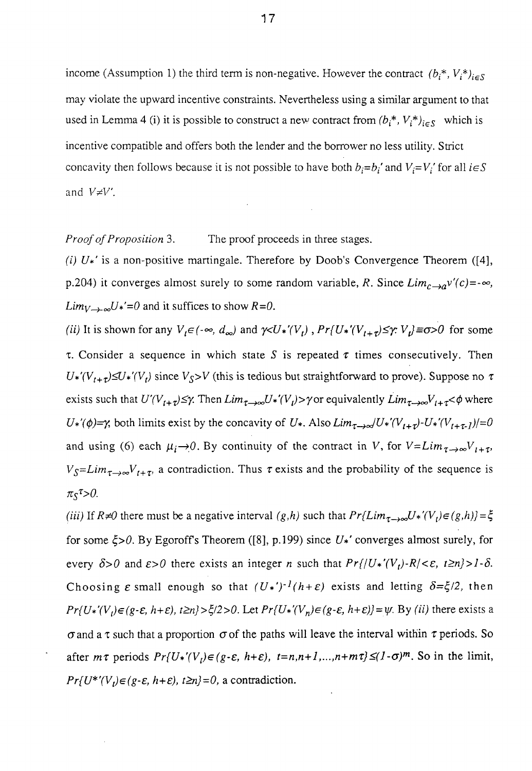income (Assumption 1) the third term is non-negative. However the contract  $(b_i^*, V_i^*)_{i \in S}$ may violate the upward incentive constraints. Nevertheless using a similar argument to that used in Lemma 4 (i) it is possible to construct a new contract from  $(b_i^*, V_i^*)_{i \in S}$  which is incentive compatible and offers both the lender and the borrower no less utility. Strict concavity then follows because it is not possible to have both  $b_i=b_i'$  and  $V_i=V_i'$  for all  $i \in S$ and  $V \neq V'$ .

*Proof of Proposition* 3. The proof proceeds in three stages.

*(i) U\*'* is a non-positive martingale. Therefore by Doob's Convergence Theorem ([4], p.204) it converges almost surely to some random variable, *R*. Since  $Lim_{c\rightarrow a}v'(c)=-\infty$ ,  $Lim_{V\to\infty}U^*=0$  and it suffices to show  $R=0$ .

*(ii)* It is shown for any  $V_t \in (-\infty, d_\infty)$  and  $\gamma \lt U^*(V_t)$ ,  $Pr\{U^*(V_{t+\tau}) \leq \gamma : V_t\} \equiv \sigma > 0$  for some  $\tau$ . Consider a sequence in which state S is repeated  $\tau$  times consecutively. Then  $U^*(V_{t+\tau}) \leq U^*(V_t)$  since  $V_s > V$  (this is tedious but straightforward to prove). Suppose no  $\tau$ exists such that  $U'(V_{t+\tau}) \leq \gamma$ . Then  $Lim_{\tau\to\infty}U^*(V_t) > \gamma$  or equivalently  $Lim_{\tau\to\infty}V_{t+\tau} < \phi$  where  $U^*(\phi) = \gamma$ , both limits exist by the concavity of  $U^*$ . Also  $Lim_{\tau \to \infty}/U^*(V_{\tau+\tau})-U^*(V_{\tau+\tau})$ /=0 and using (6) each  $\mu_i \rightarrow 0$ . By continuity of the contract in *V*, for  $V = Lim_{\tau \rightarrow \infty}V_{t+\tau}$ ,  $V_S = Lim_{\tau \to \infty} V_{t+\tau}$ , a contradiction. Thus  $\tau$  exists and the probability of the sequence is  $\pi_{\mathcal{S}}^{\tau} > 0$ .

*(iii)* If  $R \neq 0$  there must be a negative interval  $(g,h)$  such that  $Pr{Lim_{\tau\rightarrow\infty}U*'}(V_t) \in (g,h) = \xi$ for some  $\zeta > 0$ . By Egoroff's Theorem ([8], p.199) since  $U^*$  converges almost surely, for every  $\delta > 0$  and  $\epsilon > 0$  there exists an integer *n* such that  $Pr\{|U^*(V_t) - R| \leq \epsilon, t \geq n\} > 1 - \delta$ . Choosing  $\varepsilon$  small enough so that  $(U^*)^{-1}(h+\varepsilon)$  exists and letting  $\delta = \xi/2$ , then  $Pr\{U^*(V_t) \in (g-\varepsilon, h+\varepsilon), t \geq n\} > \xi/2>0$ . Let  $Pr\{U^*(V_n) \in (g-\varepsilon, h+\varepsilon)\} = \psi$ . By *(ii)* there exists a  $\sigma$  and a  $\tau$  such that a proportion  $\sigma$  of the paths will leave the interval within  $\tau$  periods. So after  $m\tau$  periods  $Pr\{U^*(V_t) \in (g \cdot \varepsilon, h+\varepsilon), t=n, n+1, \ldots, n+m\tau\} \le (1-\sigma)^m$ . So in the limit,  $Pr\{U^{\ast\prime}(V_{t}) \in (g-\varepsilon, h+\varepsilon), t \geq n\} = 0$ , a contradiction.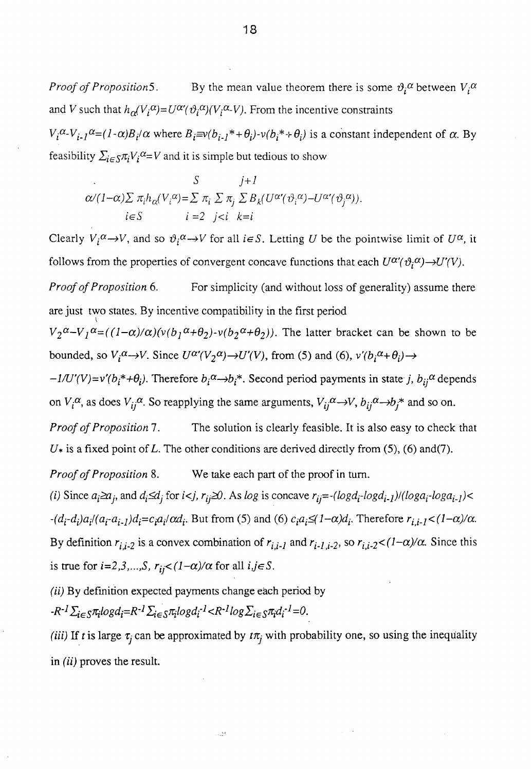*Proof of Proposition* 5. By the mean value theorem there is some  $\vartheta_i^{\alpha}$  between  $V_i^{\alpha}$ and *V* such that  $h_{\alpha}(V_i^{\alpha})=U^{\alpha}(\vartheta_i^{\alpha})(V_i^{\alpha}-V)$ . From the incentive constraints

 $V_i^{\alpha} - V_{i-1}^{\alpha} = (1 - \alpha)B_i/\alpha$  where  $B_i = v(b_{i-1}^* + \theta_i) - v(b_i^* + \theta_i)$  is a constant independent of  $\alpha$ . By feasibility  $\sum_{i \in S} \pi_i V_i^{\alpha} = V$  and it is simple but tedious to show

$$
S \qquad j+1
$$
  

$$
\alpha/(1-\alpha)\sum \pi_i h_{\alpha}(V_i^{\alpha}) = \sum \pi_i \sum \pi_j \sum B_k (U^{\alpha}(\vartheta_i^{\alpha}) - U^{\alpha}(\vartheta_j^{\alpha})).
$$
  

$$
i \in S \qquad i = 2 \quad j < i \quad k = i
$$

Clearly  $V_i^{\alpha} \rightarrow V$ , and so  $\vartheta_i^{\alpha} \rightarrow V$  for all  $i \in S$ . Letting U be the pointwise limit of  $U^{\alpha}$ , it follows from the properties of convergent concave functions that each  $U^{\alpha}(\vartheta_i^{\alpha}) \rightarrow U'(V)$ .

*Proof of Proposition* 6. For simplicity (and without loss of generality) assume there are just two states. By incentive compatibility in the first period

 $V_2^{\alpha} - V_1^{\alpha} = ((1-\alpha)/\alpha)(v(b_1^{\alpha} + \theta_2) - v(b_2^{\alpha} + \theta_2))$ . The latter bracket can be shown to be bounded, so  $V_i^{\alpha} \rightarrow V$ . Since  $U^{\alpha} (V_2^{\alpha}) \rightarrow U'(V)$ , from (5) and (6),  $v'(b_i^{\alpha} + \theta_i) \rightarrow$ 

 $-l/U'(V)=v'(b_i^*+\theta_i)$ . Therefore  $b_i^{\alpha} \rightarrow b_i^*$ . Second period payments in state j,  $b_{ij}^{\alpha}$  depends on  $V_i^{\alpha}$ , as does  $V_{ij}^{\alpha}$ . So reapplying the same arguments,  $V_{ij}^{\alpha} \rightarrow V$ ,  $b_{ij}^{\alpha} \rightarrow b_j^*$  and so on.

*Proof of Proposition* 7. The solution is clearly feasible. It is also easy to check that *U\** is a fixed point of L. The other conditions are derived directly from (5), (6) and(7).

*Proof of Proposition* 8. We take each part of the proof in turn.

*(i)* Since  $a_i \ge a_j$ , and  $d_i \le d_j$  for  $i < j$ ,  $r_{ij} \ge 0$ . As log is concave  $r_{ij} = -(log d_i - log d_i - 1)/(log a_i - log d_i - 1)$  $-(d_i - d_i)a_i/(a_i - a_{i-1})d_i = c_i a_i/\alpha d_i$ . But from (5) and (6)  $c_i a_i \leq (1 - \alpha)d_i$ . Therefore  $r_{i,i-1} < (1 - \alpha)/\alpha$ . By definition  $r_{i,i-2}$  is a convex combination of  $r_{i,i-1}$  and  $r_{i-1,i-2}$ , so  $r_{i,i-2} < (1-\alpha)/\alpha$ . Since this is true for  $i=2,3,...,S$ ,  $r_{ij} < (1-\alpha)/\alpha$  for all  $i, j \in S$ .

*(ii)* By definition expected payments change each period by

 $-R^{-1}\sum_{i\in S}\pi_ilogd_i=R^{-1}\sum_{i\in S}\pi_ilogd_i^{-1} < R^{-1}log\sum_{i\in S}\pi_i d_i^{-1}=0.$ 

*(iii)* If *t* is large  $\tau_i$  can be approximated by  $t\pi_j$  with probability one, so using the inequality in  $(ii)$  proves the result.

u).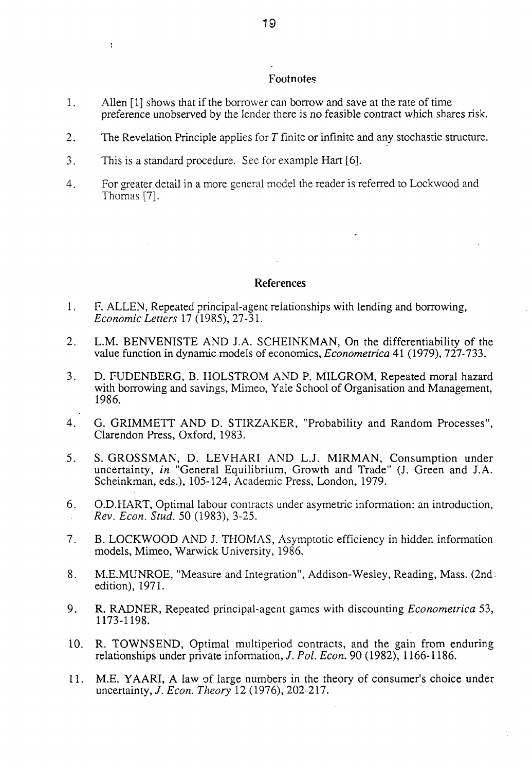#### Footnotes

- 1. Allen [1] shows that if the borrower can borrow and save at the rate of time preference unobserved by the lender there is no feasible contract which shares risk.
- 2. The Revelation Principle applies for *T* finite or infinite and any stochastic structure.
- 3. This is a standard procedure. See for example Hart [6].

Ŷ.

4. For greater detail in a more general model the reader is referred to Lockwood and Thomas [7].

#### References

- 1. F. ALLEN, Repeated principal-agent relationships with lending and borrowing, *Economic Letters* 17 (1985), 27-31.
- 2. L.M. BENVENISTE AND J.A. SCHEINKMAN, On the differentiability of the value function in dynamic models of economics, *Econometrica* 41 (1979), 727-733.
- 3. D. FUDENBERG, B. HOLSTROM AND P. MILGROM, Repeated moral hazard with borrowing and savings, Mimeo, Yale School of Organisation and Management, 1986.
- 4. G. GRIMMETT AND D. STIRZAKER, "Probability and Random Processes", Clarendon Press, Oxford, 1983.
- 5. S. GROSSMAN, D. LEVHARI AND LJ. MIRMAN, Consumption under uncertainty, *in* "General Equilibrium, Growth and Trade" (J. Green and J.A. Scheinkman, eds.), 105-124, Academic Press, London, 1979.
- 6. O.D.HART, Optimal labour contracts under asymetric information: an introduction, *Rev. Econ. Stud.* 50 (1983), 3-25.
- 7. B. LOCKWOOD AND J. THOMAS, Asymptotic efficiency in hidden information models, Mimeo, Warwick University, 1986.
- 8. M.E.MUNROE, "Measure and Integration", Addison-Wesley, Reading, Mass. (2ndedition), 1971.
- 9. R. RADNER, Repeated principal-agent games with discounting *Econometrica* 53, 1173-1198.
- 10. R. TOWNSEND, Optimal multiperiod contracts, and the gain from enduring relationships under private information,/. *Pol. Econ.* 90 (1982), 1166-1186.
- 11. M.E. YAARI, A law of large numbers in the theory of consumer's choice under uncertainty, /. *Econ. Theory* 12 (1976), 202-217.